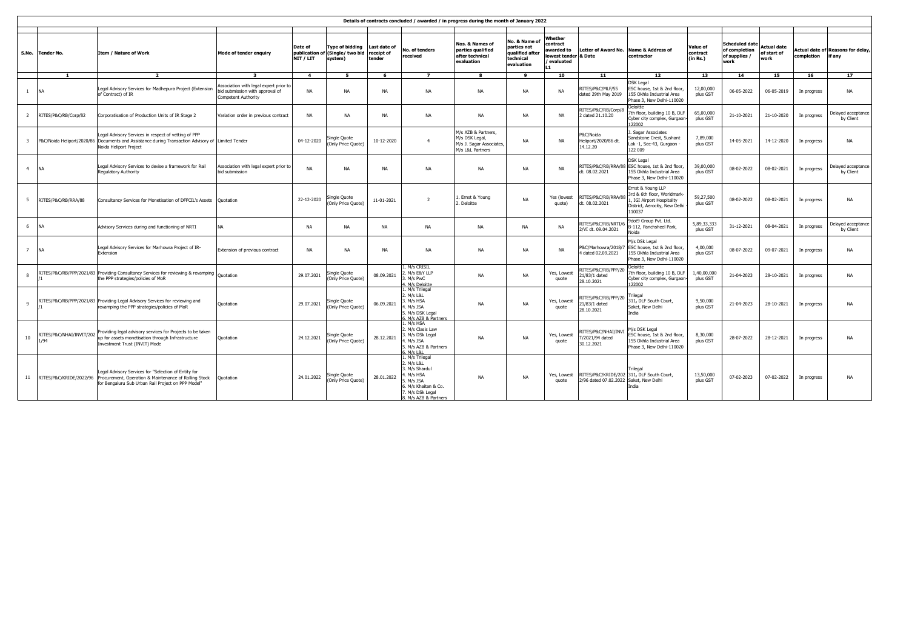| Details of contracts concluded / awarded / in progress during the month of January 2022 |                                  |                                                                                                                                                                                             |                                                                                                 |                                     |                                                          |                                      |                                                                                                                                           |                                                                                       |                                                                           |                                                                       |                                                   |                                                                                                                          |                                  |                                                                 |                                           |             |                                            |
|-----------------------------------------------------------------------------------------|----------------------------------|---------------------------------------------------------------------------------------------------------------------------------------------------------------------------------------------|-------------------------------------------------------------------------------------------------|-------------------------------------|----------------------------------------------------------|--------------------------------------|-------------------------------------------------------------------------------------------------------------------------------------------|---------------------------------------------------------------------------------------|---------------------------------------------------------------------------|-----------------------------------------------------------------------|---------------------------------------------------|--------------------------------------------------------------------------------------------------------------------------|----------------------------------|-----------------------------------------------------------------|-------------------------------------------|-------------|--------------------------------------------|
| S.No.                                                                                   | <b>Tender No.</b>                | <b>Item / Nature of Work</b>                                                                                                                                                                | Mode of tender enquiry                                                                          | Date of<br>publication<br>NIT / LIT | <b>Type of bidding</b><br>of (Single/ two bid<br>system) | Last date of<br>receipt of<br>tender | No. of tenders<br>received                                                                                                                | Nos. & Names of<br>parties qualified<br>after technical<br>evaluation                 | No. & Name o<br>parties not<br>qualified after<br>technical<br>evaluation | Whether<br>contract<br>awarded to<br>owest tender & Date<br>evaluated | <b>Letter of Award No.</b>                        | <b>Name &amp; Address of</b><br>contractor                                                                               | Value of<br>contract<br>(in Rs.) | <b>Scheduled date</b><br>of completion<br>of supplies /<br>work | <b>Actual date</b><br>of start of<br>work | completion  | ctual date of Reasons for delay,<br>if anv |
|                                                                                         | 1                                | $\overline{ }$                                                                                                                                                                              |                                                                                                 | $\overline{4}$                      | 5                                                        | $\overline{6}$                       | $\overline{ }$                                                                                                                            | 8                                                                                     | و                                                                         | 10                                                                    | 11                                                | 12                                                                                                                       | 13                               | 14                                                              | 15                                        | 16          | 17                                         |
| $\mathbf{1}$                                                                            | <b>NA</b>                        | Legal Advisory Services for Madhepura Project (Extension<br>of Contract) of IR                                                                                                              | ssociation with legal expert prior to<br>bid submission with approval of<br>Competent Authority | <b>NA</b>                           | <b>NA</b>                                                | <b>NA</b>                            | <b>NA</b>                                                                                                                                 | <b>NA</b>                                                                             | <b>NA</b>                                                                 | <b>NA</b>                                                             | RITES/P&C/MLF/55<br>dated 29th May 2019           | <b>DSK Legal</b><br>ESC house, 1st & 2nd floor,<br>155 Okhla Industrial Area<br>Phase 3, New Delhi-110020                | 12,00,000<br>plus GST            | 06-05-2022                                                      | 06-05-2019                                | In progress | <b>NA</b>                                  |
| $\overline{2}$                                                                          | RITES/P&C/RB/Corp/82             | Corporatisation of Production Units of IR Stage 2                                                                                                                                           | Variation order in previous contract                                                            | <b>NA</b>                           | <b>NA</b>                                                | <b>NA</b>                            | <b>NA</b>                                                                                                                                 | <b>NA</b>                                                                             | <b>NA</b>                                                                 | <b>NA</b>                                                             | RITES/P&C/RB/Corp/8<br>dated 21.10.20             | Deloitte<br>7th floor, building 10 B, DLF<br>Cyber city complex, Gurgaon<br>22002                                        | 65,00,000<br>plus GST            | 21-10-2021                                                      | 21-10-2020                                | In progress | Delayed acceptance<br>by Client            |
| $\overline{\mathbf{3}}$                                                                 |                                  | Legal Advisory Services in respect of vetting of PPP<br>P&C/Noida Heliport/2020/86 Documents and Assistance during Transaction Advisory of Limited Tender<br>Noida Heliport Project         |                                                                                                 | 04-12-2020                          | Single Quote<br>(Only Price Quote)                       | 10-12-2020                           | $\overline{4}$                                                                                                                            | M/s AZB & Partners,<br>M/s DSK Legal,<br>M/s J. Sagar Associates,<br>M/s L&L Partners | <b>NA</b>                                                                 | <b>NA</b>                                                             | P&C/Noida<br>Heliport/2020/86 dt.<br>14.12.20     | Sagar Associates<br>Sandstone Crest, Sushant<br>-ok -1, Sec-43, Gurgaon.<br>122 009                                      | 7,89,000<br>plus GST             | 14-05-2021                                                      | 14-12-2020                                | In progress | NA                                         |
| $\overline{4}$                                                                          | <b>NA</b>                        | Legal Advisory Services to devise a framework for Rail<br>Regulatory Authority                                                                                                              | Association with legal expert prior to<br>bid submission                                        | <b>NA</b>                           | <b>NA</b>                                                | <b>NA</b>                            | <b>NA</b>                                                                                                                                 | <b>NA</b>                                                                             | <b>NA</b>                                                                 | <b>NA</b>                                                             | RITES/P&C/RB/RRA/88<br>dt. 08.02.2021             | <b>DSK Legal</b><br>ESC house, 1st & 2nd floor,<br>155 Okhla Industrial Area<br>Phase 3, New Delhi-110020                | 39,00,000<br>plus GST            | 08-02-2022                                                      | 08-02-2021                                | In progress | Delayed acceptance<br>by Client            |
| 5                                                                                       | RITES/P&C/RB/RRA/88              | Consultancy Services for Monetisation of DFFCIL's Assets Quotation                                                                                                                          |                                                                                                 | 22-12-2020                          | Single Quote<br>(Only Price Quote)                       | 11-01-2021                           | $\overline{z}$                                                                                                                            | Ernst & Young<br>. Deloitte                                                           | <b>NA</b>                                                                 | Yes (lowest<br>quote)                                                 | RITES/P&C/RB/RRA/88<br>dt. 08.02.2021             | Ernst & Young LLP<br>3rd & 6th floor, Worldmark-<br>. IGI Airport Hospitality<br>District, Aerocity, New Delhi<br>110037 | 59,27,500<br>plus GST            | 08-02-2022                                                      | 08-02-2021                                | In progress | NA                                         |
| 6                                                                                       | <b>NA</b>                        | Advisory Services during and functioning of NRTI                                                                                                                                            |                                                                                                 | <b>NA</b>                           | <b>NA</b>                                                | <b>NA</b>                            | <b>NA</b>                                                                                                                                 | <b>NA</b>                                                                             | <b>NA</b>                                                                 | <b>NA</b>                                                             | RITES/P&C/RB/NRTI/6<br>2/VI dt. 09.04.2021        | 9dot9 Group Pvt. Ltd.<br>B-112, Panchsheel Park,<br>Noida                                                                | 5,89,33,333<br>plus GST          | 31-12-2021                                                      | 08-04-2021                                | In progress | Delayed acceptance<br>by Client            |
| $7^{\circ}$                                                                             | <b>NA</b>                        | Legal Advisory Services for Marhowra Project of IR-<br>Extension                                                                                                                            | Extension of previous contract                                                                  | <b>NA</b>                           | <b>NA</b>                                                | <b>NA</b>                            | <b>NA</b>                                                                                                                                 | <b>NA</b>                                                                             | <b>NA</b>                                                                 | <b>NA</b>                                                             | P&C/Marhowra/2018/7<br>dated 02.09.2021           | M/s DSk Legal<br>ESC house, 1st & 2nd floor.<br>155 Okhla Industrial Area<br>Phase 3, New Delhi-110020                   | 4.00.000<br>plus GST             | 08-07-2022                                                      | 09-07-2021                                | In progress | NA                                         |
| 8                                                                                       |                                  | RITES/P&C/RB/PPP/2021/83 Providing Consultancy Services for reviewing & revamping<br>the PPP strategies/policies of MoR                                                                     | Ouotation                                                                                       | 29.07.2021                          | Single Quote<br>(Only Price Quote)                       | 08.09.2021                           | L. M/s CRISIL<br>. M/s E&Y LLP<br>3. M/s PwC<br>. M/s Deloitte                                                                            | NA                                                                                    | <b>NA</b>                                                                 | Yes, Lowest<br>quote                                                  | ITES/P&C/RB/PPP/20<br>1/83/1 dated<br>28.10.2021  | Deloitte<br>7th floor, building 10 B, DLF<br>Cyber city complex, Gurgaon-<br>122002                                      | 1,40,00,000<br>plus GST          | 21-04-2023                                                      | 28-10-2021                                | In progress | NA                                         |
| $\mathbf{Q}$                                                                            |                                  | RITES/P&C/RB/PPP/2021/83 Providing Legal Advisory Services for reviewing and<br>revamping the PPP strategies/policies of MoR                                                                | Quotation                                                                                       | 29.07.2021                          | Single Quote<br>(Only Price Quote)                       | 06.09.2021                           | 1. M/s Trilegal<br>2. M/s L&L<br>3. M/s HSA<br>4. M/s JSA<br>5. M/s DSK Legal<br>M/s A7B & Partners                                       | <b>NA</b>                                                                             | <b>NA</b>                                                                 | Yes, Lowest<br>quote                                                  | RITES/P&C/RB/PPP/20<br>1/83/1 dated<br>28.10.2021 | rilegal<br>311, DLF South Court,<br>Saket, New Delhi<br>India                                                            | 9,50,000<br>plus GST             | 21-04-2023                                                      | 28-10-2021                                | In progress | NA                                         |
| 10 <sup>10</sup>                                                                        | RITES/P&C/NHAI/INVIT/202<br>1/94 | Providing legal advisory services for Projects to be taken<br>up for assets monetisation through Infrastructure<br>Investment Trust (INVIT) Mode                                            | Ouotation                                                                                       | 24.12.2021                          | Single Quote<br>(Only Price Quote)                       | 28.12.2021                           | L. M/s HSA<br>2. M/s Clasis Law<br>3. M/s DSk Legal<br>. M/s JSA<br>5. M/s AZB & Partners<br>$M/s$   $R$                                  | <b>NA</b>                                                                             | <b>NA</b>                                                                 | Yes, Lowest<br>quote                                                  | ITES/P&C/NHAI/INV<br>/2021/94 dated<br>30.12.2021 | M/s DSK Legal<br>SC house, 1st & 2nd floor,<br>155 Okhla Industrial Area<br>Phase 3, New Delhi-110020                    | 8,30,000<br>plus GST             | 28-07-2022                                                      | 28-12-2021                                | In progress | <b>NA</b>                                  |
| 11                                                                                      |                                  | Legal Advisory Services for "Selection of Entity for<br>RITES/P&C/KRIDE/2022/96 Procurement, Operation & Maintenance of Rolling Stock<br>for Bengaluru Sub Urban Rail Project on PPP Model" | Ouotation                                                                                       | 24.01.2022                          | Single Quote<br>(Only Price Quote)                       | 28.01.2022                           | L. M/s Trilegal<br>2. M/s L&L<br>3. M/s Shardul<br>. M/s HSA<br>M/s JSA<br>5. M/s Khaitan & Co.<br>7. M/s DSk Legal<br>M/s AZB & Partners | <b>NA</b>                                                                             | <b>NA</b>                                                                 | Yes, Lowest<br>quote                                                  | 2/96 dated 07.02.2022                             | rilegal<br>RITES/P&C/KRIDE/202 311, DLF South Court,<br>Saket, New Delhi<br>India                                        | 13,50,000<br>plus GST            | 07-02-2023                                                      | 07-02-2022                                | In progress | NA                                         |